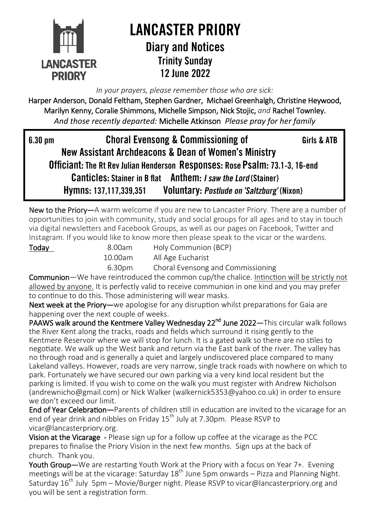

## **LANCASTER PRIORY Diary and Notices Trinity Sunday** 12 lune 2022

*In your prayers, please remember those who are sick:* 

Harper Anderson, Donald Feltham, Stephen Gardner, Michael Greenhalgh, Christine Heywood, Marilyn Kenny, Coralie Shimmons, Michelle Simpson, Nick Stojic, *and* Rachel Townley. *And those recently departed:* Michelle Atkinson *Please pray for her family*

6.30 pm **Choral Evensong & Commissioning of** Girls & ATB New Assistant Archdeacons & Dean of Women's Ministry Officiant: The Rt Rev Julian Henderson Responses: Rose Psalm: 73.1-3. 16-end **Canticles: Stainer in B flat** Anthem: *I saw the Lord* (Stainer) Voluntary: Postlude on 'Saltzburg' (Nixon) Hymns: 137,117,339,351

New to the Priory—A warm welcome if you are new to Lancaster Priory. There are a number of opportunities to join with community, study and social groups for all ages and to stay in touch via digital newsletters and Facebook Groups, as well as our pages on Facebook, Twitter and Instagram. If you would like to know more then please speak to the vicar or the wardens.

Today 8.00am Holy Communion (BCP) 10.00am All Age Eucharist

6.30pm Choral Evensong and Commissioning

Communion—We have reintroduced the common cup/the chalice. Intinction will be strictly not allowed by anyone. It is perfectly valid to receive communion in one kind and you may prefer to continue to do this. Those administering will wear masks.

Next week at the Priory—we apologise for any disruption whilst preparations for Gaia are happening over the next couple of weeks.

PAAWS walk around the Kentmere Valley Wednesday 22<sup>nd</sup> June 2022—This circular walk follows the River Kent along the tracks, roads and fields which surround it rising gently to the Kentmere Reservoir where we will stop for lunch. It is a gated walk so there are no stiles to negotiate. We walk up the West bank and return via the East bank of the river. The valley has no through road and is generally a quiet and largely undiscovered place compared to many Lakeland valleys. However, roads are very narrow, single track roads with nowhere on which to park. Fortunately we have secured our own parking via a very kind local resident but the parking is limited. If you wish to come on the walk you must register with Andrew Nicholson ([andrewnicho@gmail.com\)](mailto:andrewnicho@gmail.com) or Nick Walker (walkernick5353@yahoo.co.uk) in order to ensure we don't exceed our limit.

End of Year Celebration—Parents of children still in education are invited to the vicarage for an end of year drink and nibbles on Friday 15<sup>th</sup> July at 7.30pm. Please RSVP to [vicar@lancasterpriory.org.](mailto:vicar@lancasterpriory.org)

Vision at the Vicarage - Please sign up for a follow up coffee at the vicarage as the PCC prepares to finalise the Priory Vision in the next few months. Sign ups at the back of church. Thank you.

Youth Group—We are restarting Youth Work at the Priory with a focus on Year 7+. Evening meetings will be at the vicarage: Saturday  $18<sup>th</sup>$  June 5pm onwards – Pizza and Planning Night. Saturday 16<sup>th</sup> July 5pm – Movie/Burger night. Please RSVP to [vicar@lancasterpriory.org](mailto:vicar@lancasterpriory.org) and you will be sent a registration form.